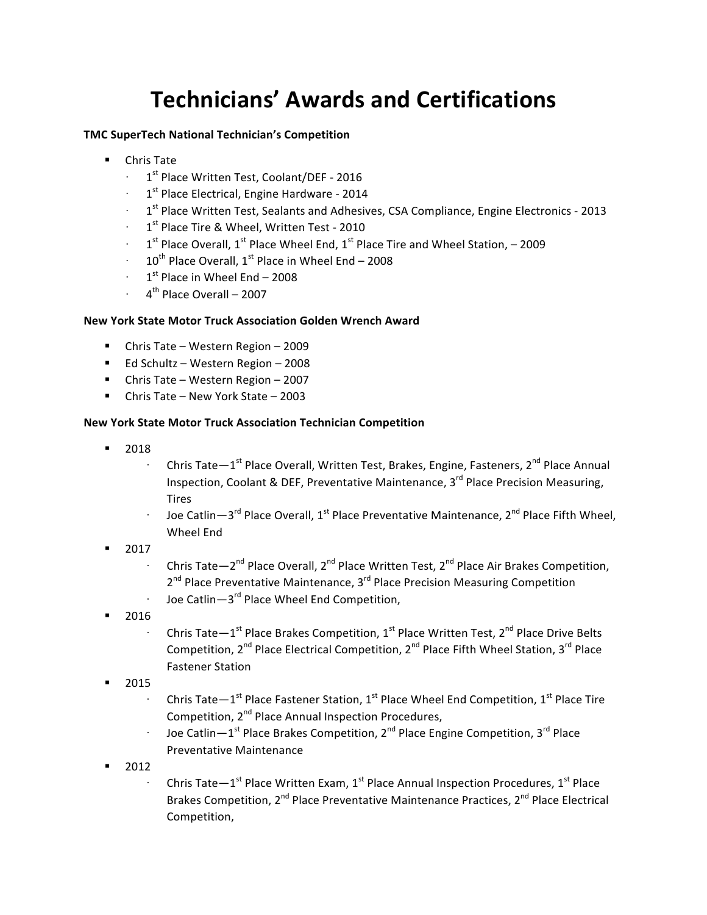# **Technicians' Awards and Certifications**

### **TMC SuperTech National Technician's Competition**

- Chris Tate
	- 1<sup>st</sup> Place Written Test, Coolant/DEF 2016
	- $\cdot$  1<sup>st</sup> Place Electrical, Engine Hardware 2014
	- 1<sup>st</sup> Place Written Test, Sealants and Adhesives, CSA Compliance, Engine Electronics 2013
	- 1<sup>st</sup> Place Tire & Wheel, Written Test 2010
	- $1<sup>st</sup>$  Place Overall,  $1<sup>st</sup>$  Place Wheel End,  $1<sup>st</sup>$  Place Tire and Wheel Station, 2009
	- $10^{th}$  Place Overall,  $1^{st}$  Place in Wheel End 2008
	- $1<sup>st</sup>$  Place in Wheel End 2008
	- $4<sup>th</sup>$  Place Overall 2007

#### **New York State Motor Truck Association Golden Wrench Award**

- Chris Tate Western Region 2009
- Ed Schultz Western Region 2008
- Chris Tate Western Region 2007
- Chris Tate New York State 2003

## **New York State Motor Truck Association Technician Competition**

- § 2018
	- Chris Tate $-1^{st}$  Place Overall, Written Test, Brakes, Engine, Fasteners,  $2^{nd}$  Place Annual Inspection, Coolant & DEF, Preventative Maintenance,  $3^{rd}$  Place Precision Measuring, Tires
	- Joe Catlin—3<sup>rd</sup> Place Overall, 1<sup>st</sup> Place Preventative Maintenance, 2<sup>nd</sup> Place Fifth Wheel, Wheel End
- § 2017
	- Chris Tate—2<sup>nd</sup> Place Overall, 2<sup>nd</sup> Place Written Test, 2<sup>nd</sup> Place Air Brakes Competition, 2<sup>nd</sup> Place Preventative Maintenance, 3<sup>rd</sup> Place Precision Measuring Competition Joe Catlin-3<sup>rd</sup> Place Wheel End Competition,
- § 2016
	- Chris Tate $-1^{st}$  Place Brakes Competition,  $1^{st}$  Place Written Test,  $2^{nd}$  Place Drive Belts Competition,  $2^{nd}$  Place Electrical Competition,  $2^{nd}$  Place Fifth Wheel Station,  $3^{rd}$  Place Fastener Station
- § 2015
	- Chris Tate $-1^{st}$  Place Fastener Station,  $1^{st}$  Place Wheel End Competition,  $1^{st}$  Place Tire Competition, 2<sup>nd</sup> Place Annual Inspection Procedures,
	- Joe Catlin $-1^{st}$  Place Brakes Competition, 2<sup>nd</sup> Place Engine Competition, 3<sup>rd</sup> Place Preventative Maintenance
- $-2012$ 
	- Chris Tate $-1^{\text{st}}$  Place Written Exam,  $1^{\text{st}}$  Place Annual Inspection Procedures,  $1^{\text{st}}$  Place Brakes Competition,  $2^{nd}$  Place Preventative Maintenance Practices,  $2^{nd}$  Place Electrical Competition,